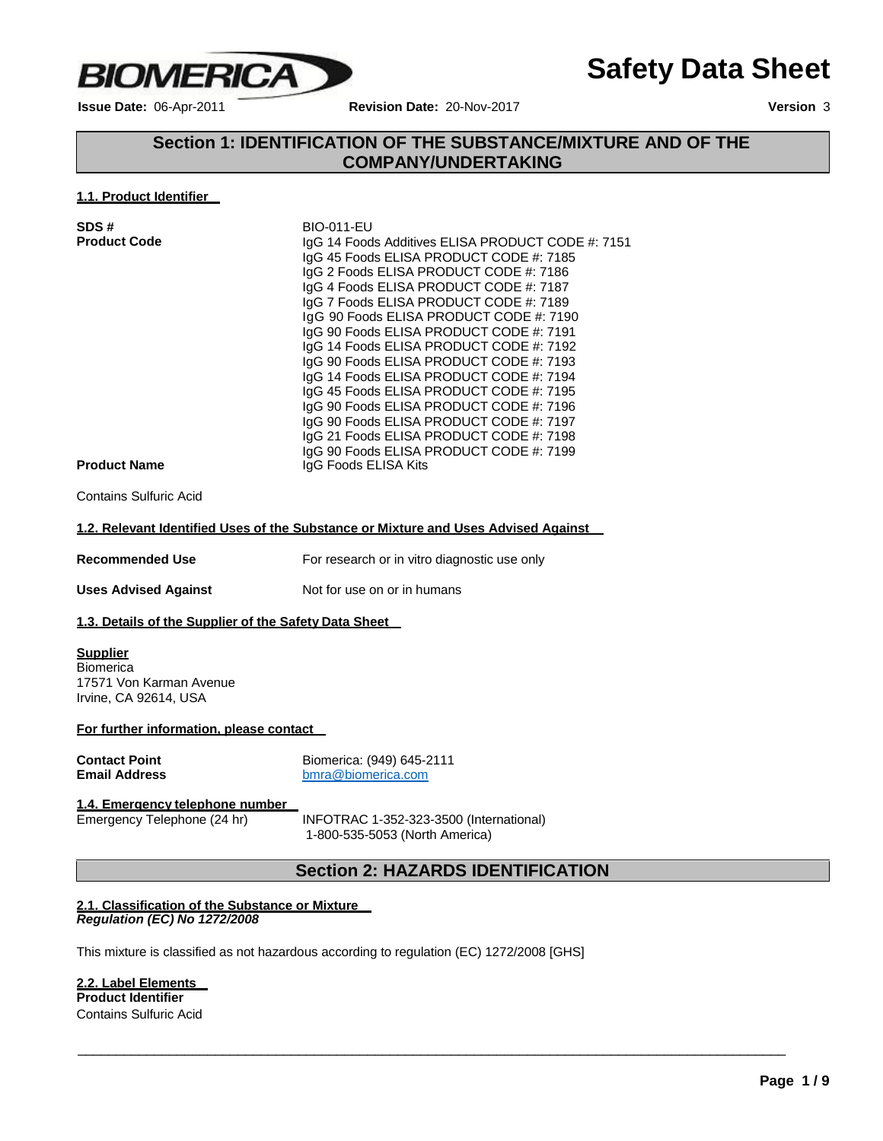

**Issue Date:** 06-Apr-2011 **Revision Date:** 20-Nov-2017 **Version** 3

**Safety Data Sheet**

# **Section 1: IDENTIFICATION OF THE SUBSTANCE/MIXTURE AND OF THE COMPANY/UNDERTAKING**

### **1.1. Product Identifier**

| SDS#                | <b>BIO-011-EU</b>                                 |
|---------------------|---------------------------------------------------|
| <b>Product Code</b> | IgG 14 Foods Additives ELISA PRODUCT CODE #: 7151 |
|                     | IgG 45 Foods ELISA PRODUCT CODE #: 7185           |
|                     | IgG 2 Foods ELISA PRODUCT CODE #: 7186            |
|                     | IgG 4 Foods ELISA PRODUCT CODE #: 7187            |
|                     | IgG 7 Foods ELISA PRODUCT CODE #: 7189            |
|                     | IgG 90 Foods ELISA PRODUCT CODE #: 7190           |
|                     | IgG 90 Foods ELISA PRODUCT CODE #: 7191           |
|                     | IgG 14 Foods ELISA PRODUCT CODE #: 7192           |
|                     | IgG 90 Foods ELISA PRODUCT CODE #: 7193           |
|                     | IgG 14 Foods ELISA PRODUCT CODE #: 7194           |
|                     | IgG 45 Foods ELISA PRODUCT CODE #: 7195           |
|                     | IgG 90 Foods ELISA PRODUCT CODE #: 7196           |
|                     | IgG 90 Foods ELISA PRODUCT CODE #: 7197           |
|                     | IgG 21 Foods ELISA PRODUCT CODE #: 7198           |
|                     | IgG 90 Foods ELISA PRODUCT CODE #: 7199           |
| <b>Product Name</b> | IgG Foods ELISA Kits                              |

Contains Sulfuric Acid

### **1.2. Relevant Identified Uses of the Substance or Mixture and Uses Advised Against**

| <b>Recommended Use</b> | For research or in vitro diagnostic use only |
|------------------------|----------------------------------------------|
|                        |                                              |

**Uses Advised Against** Not for use on or in humans

### **1.3. Details of the Supplier of the Safety Data Sheet**

**Supplier Biomerica** 17571 Von Karman Avenue Irvine, CA 92614, USA

**For further information, please contact**

**Contact Point**<br> **Email Address**<br>
Biomerica.com<br>
biomerica.com **Email Address** [bmra@biomerica.com](mailto:bmra@biomerica.com)

# **1.4. Emergency telephone number**

INFOTRAC 1-352-323-3500 (International) 1-800-535-5053 (North America)

\_\_\_\_\_\_\_\_\_\_\_\_\_\_\_\_\_\_\_\_\_\_\_\_\_\_\_\_\_\_\_\_\_\_\_\_\_\_\_\_\_\_\_\_\_\_\_\_\_\_\_\_\_\_\_\_\_\_\_\_\_\_\_\_\_\_\_\_\_\_\_\_\_\_\_\_\_\_\_\_\_\_\_\_\_\_\_\_\_\_\_\_\_

# **Section 2: HAZARDS IDENTIFICATION**

### **2.1. Classification of the Substance or Mixture** *Regulation (EC) No 1272/2008*

This mixture is classified as not hazardous according to regulation (EC) 1272/2008 [GHS]

### **2.2. Label Elements Product Identifier** Contains Sulfuric Acid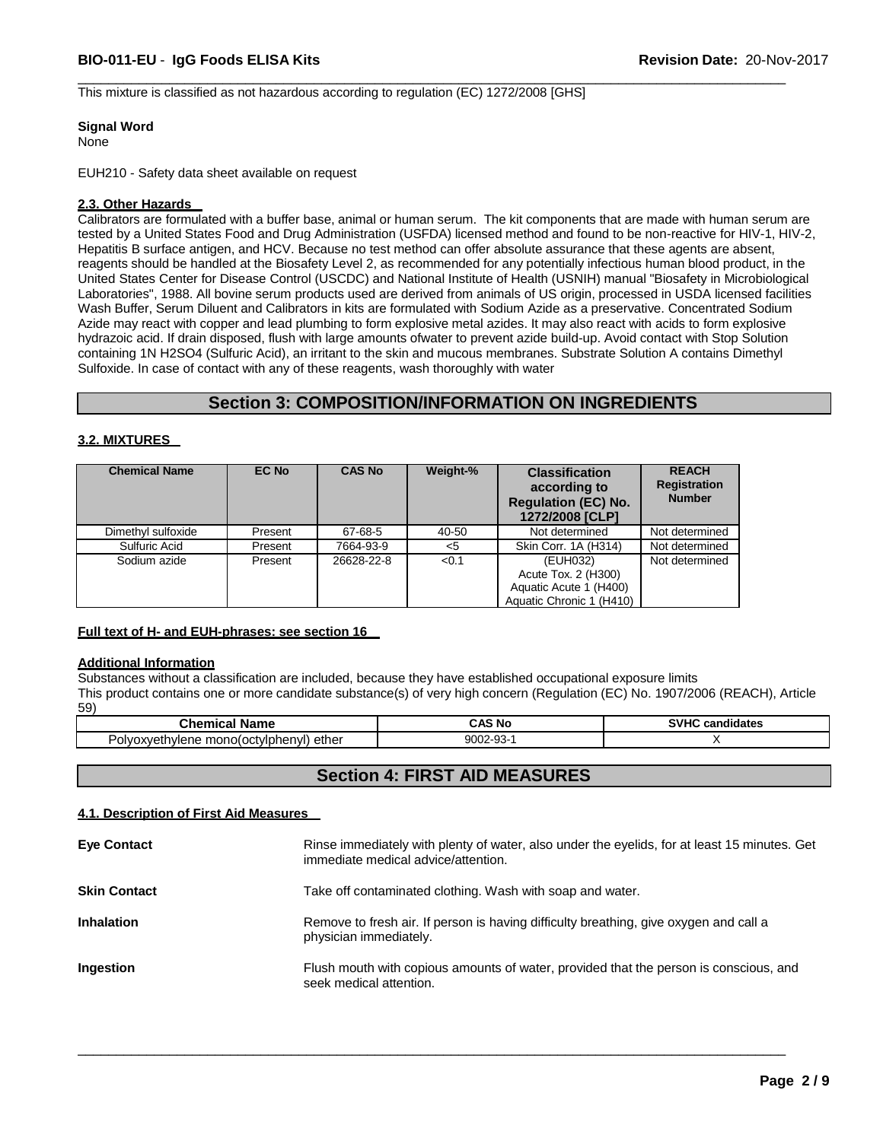This mixture is classified as not hazardous according to regulation (EC) 1272/2008 [GHS]

### **Signal Word**

None

EUH210 - Safety data sheet available on request

### **2.3. Other Hazards**

Calibrators are formulated with a buffer base, animal or human serum. The kit components that are made with human serum are tested by a United States Food and Drug Administration (USFDA) licensed method and found to be non-reactive for HIV-1, HIV-2, Hepatitis B surface antigen, and HCV. Because no test method can offer absolute assurance that these agents are absent, reagents should be handled at the Biosafety Level 2, as recommended for any potentially infectious human blood product, in the United States Center for Disease Control (USCDC) and National Institute of Health (USNIH) manual "Biosafety in Microbiological Laboratories", 1988. All bovine serum products used are derived from animals of US origin, processed in USDA licensed facilities Wash Buffer, Serum Diluent and Calibrators in kits are formulated with Sodium Azide as a preservative. Concentrated Sodium Azide may react with copper and lead plumbing to form explosive metal azides. It may also react with acids to form explosive hydrazoic acid. If drain disposed, flush with large amounts ofwater to prevent azide build-up. Avoid contact with Stop Solution containing 1N H2SO4 (Sulfuric Acid), an irritant to the skin and mucous membranes. Substrate Solution A contains Dimethyl Sulfoxide. In case of contact with any of these reagents, wash thoroughly with water

 $\overline{\phantom{a}}$  , and the contribution of the contribution of the contribution of the contribution of the contribution of the contribution of the contribution of the contribution of the contribution of the contribution of the

### **Section 3: COMPOSITION/INFORMATION ON INGREDIENTS**

### **3.2. MIXTURES**

| <b>Chemical Name</b> | EC No   | <b>CAS No</b> | Weight-% | <b>Classification</b><br>according to<br><b>Regulation (EC) No.</b><br>1272/2008 [CLP] | <b>REACH</b><br><b>Registration</b><br><b>Number</b> |
|----------------------|---------|---------------|----------|----------------------------------------------------------------------------------------|------------------------------------------------------|
| Dimethyl sulfoxide   | Present | 67-68-5       | 40-50    | Not determined                                                                         | Not determined                                       |
| Sulfuric Acid        | Present | 7664-93-9     | <5       | Skin Corr. 1A (H314)                                                                   | Not determined                                       |
| Sodium azide         | Present | 26628-22-8    | < 0.1    | (EUH032)<br>Acute Tox. 2 (H300)<br>Aquatic Acute 1 (H400)<br>Aquatic Chronic 1 (H410)  | Not determined                                       |

### **Full text of H- and EUH-phrases: see section 16**

### **Additional Information**

Substances without a classification are included, because they have established occupational exposure limits This product contains one or more candidate substance(s) of very high concern (Regulation (EC) No. 1907/2006 (REACH), Article 59)

| $\mathop{\mathrm{Chemic}}\nolimits$<br>---<br>פוח<br>ame | <b>CAS No</b>                 | <b>SVHC</b><br>candidates<br>. |  |
|----------------------------------------------------------|-------------------------------|--------------------------------|--|
| ether<br>mono(octylphenyl)<br>, ulvoxveth<br>hvlene      | $\sim$<br>9002-9<br>۰.<br>ົບປ |                                |  |

# **Section 4: FIRST AID MEASURES**

### **4.1. Description of First Aid Measures**

| <b>Eye Contact</b>  | Rinse immediately with plenty of water, also under the eyelids, for at least 15 minutes. Get<br>immediate medical advice/attention. |
|---------------------|-------------------------------------------------------------------------------------------------------------------------------------|
| <b>Skin Contact</b> | Take off contaminated clothing. Wash with soap and water.                                                                           |
| <b>Inhalation</b>   | Remove to fresh air. If person is having difficulty breathing, give oxygen and call a<br>physician immediately.                     |
| Ingestion           | Flush mouth with copious amounts of water, provided that the person is conscious, and<br>seek medical attention.                    |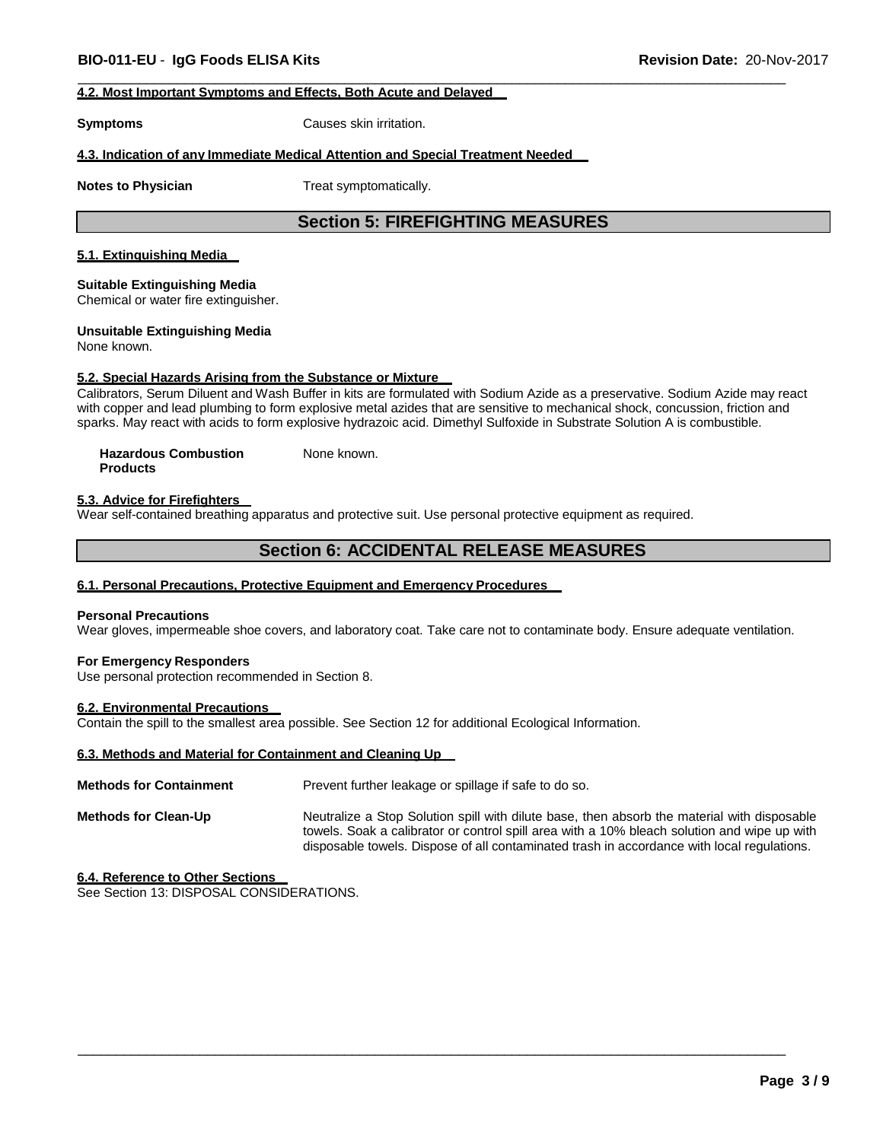### **4.2. Most Important Symptoms and Effects, Both Acute and Delayed**

**Symptoms** Causes skin irritation.

### **4.3. Indication of any Immediate Medical Attention and Special Treatment Needed**

**Notes to Physician** Treat symptomatically.

# **Section 5: FIREFIGHTING MEASURES**

 $\overline{\phantom{a}}$  , and the contribution of the contribution of the contribution of the contribution of the contribution of the contribution of the contribution of the contribution of the contribution of the contribution of the

### **5.1. Extinguishing Media**

### **Suitable Extinguishing Media**

Chemical or water fire extinguisher.

### **Unsuitable Extinguishing Media**

None known.

### **5.2. Special Hazards Arising from the Substance or Mixture**

Calibrators, Serum Diluent and Wash Buffer in kits are formulated with Sodium Azide as a preservative. Sodium Azide may react with copper and lead plumbing to form explosive metal azides that are sensitive to mechanical shock, concussion, friction and sparks. May react with acids to form explosive hydrazoic acid. Dimethyl Sulfoxide in Substrate Solution A is combustible.

**Hazardous Combustion Products** None known.

### **5.3. Advice for Firefighters**

Wear self-contained breathing apparatus and protective suit. Use personal protective equipment as required.

# **Section 6: ACCIDENTAL RELEASE MEASURES**

### **6.1. Personal Precautions, Protective Equipment and Emergency Procedures**

#### **Personal Precautions**

Wear gloves, impermeable shoe covers, and laboratory coat. Take care not to contaminate body. Ensure adequate ventilation.

#### **For Emergency Responders**

Use personal protection recommended in Section 8.

### **6.2. Environmental Precautions**

Contain the spill to the smallest area possible. See Section 12 for additional Ecological Information.

### **6.3. Methods and Material for Containment and Cleaning Up**

| <b>Methods for Containment</b> | Prevent further leakage or spillage if safe to do so.                                                                                                                                                                                                                                    |
|--------------------------------|------------------------------------------------------------------------------------------------------------------------------------------------------------------------------------------------------------------------------------------------------------------------------------------|
| <b>Methods for Clean-Up</b>    | Neutralize a Stop Solution spill with dilute base, then absorb the material with disposable<br>towels. Soak a calibrator or control spill area with a 10% bleach solution and wipe up with<br>disposable towels. Dispose of all contaminated trash in accordance with local regulations. |

\_\_\_\_\_\_\_\_\_\_\_\_\_\_\_\_\_\_\_\_\_\_\_\_\_\_\_\_\_\_\_\_\_\_\_\_\_\_\_\_\_\_\_\_\_\_\_\_\_\_\_\_\_\_\_\_\_\_\_\_\_\_\_\_\_\_\_\_\_\_\_\_\_\_\_\_\_\_\_\_\_\_\_\_\_\_\_\_\_\_\_\_\_

### **6.4. Reference to Other Sections**

See Section 13: DISPOSAL CONSIDERATIONS.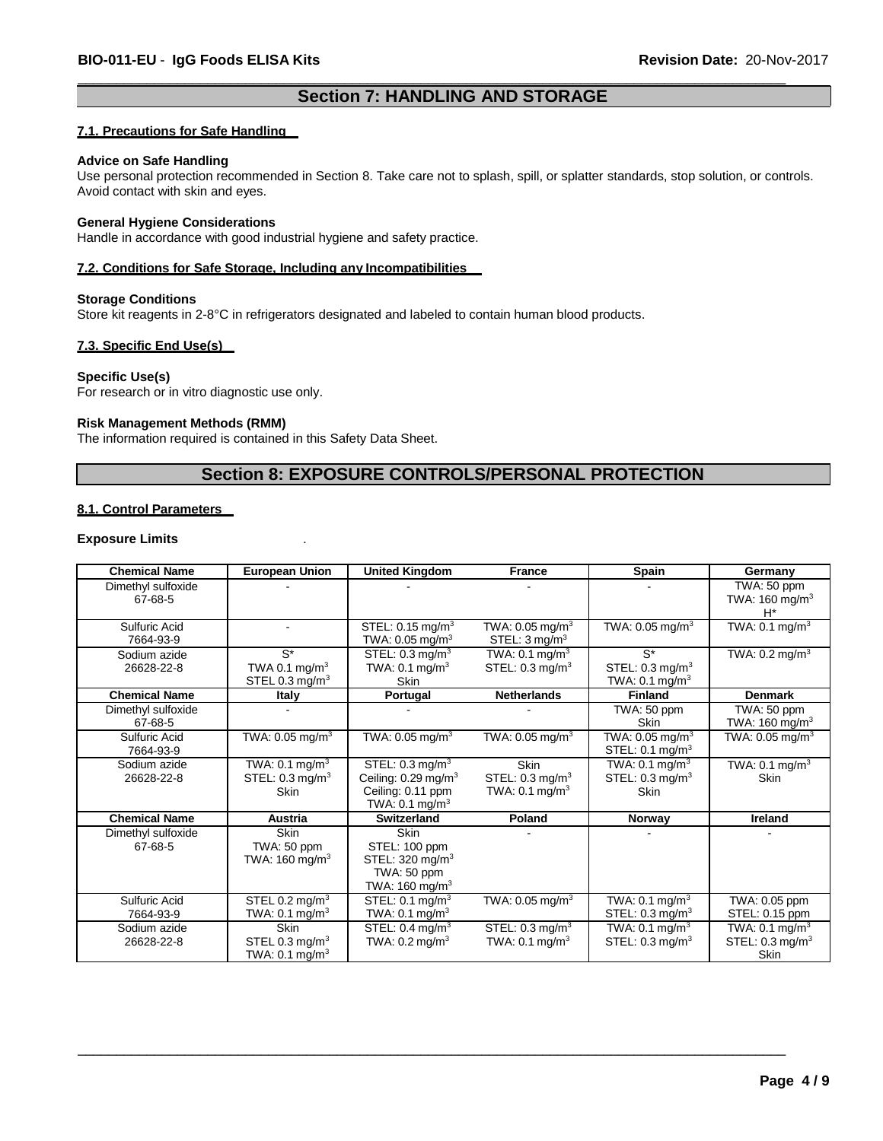# **Section 7: HANDLING AND STORAGE**

 $\overline{\phantom{a}}$  , and the contribution of the contribution of the contribution of the contribution of the contribution of the contribution of the contribution of the contribution of the contribution of the contribution of the

### **7.1. Precautions for Safe Handling**

#### **Advice on Safe Handling**

Use personal protection recommended in Section 8. Take care not to splash, spill, or splatter standards, stop solution, or controls. Avoid contact with skin and eyes.

### **General Hygiene Considerations**

Handle in accordance with good industrial hygiene and safety practice.

### **7.2. Conditions for Safe Storage, Including any Incompatibilities**

### **Storage Conditions**

Store kit reagents in 2-8°C in refrigerators designated and labeled to contain human blood products.

### **7.3. Specific End Use(s)**

### **Specific Use(s)**

For research or in vitro diagnostic use only.

### **Risk Management Methods (RMM)**

The information required is contained in this Safety Data Sheet.

### **Section 8: EXPOSURE CONTROLS/PERSONAL PROTECTION**

### **8.1. Control Parameters**

### **Exposure Limits** .

| <b>Chemical Name</b>          | <b>European Union</b>                                                  | <b>United Kingdom</b>                                                                                             | <b>France</b>                                                          | <b>Spain</b>                                                           | Germany                                                                |
|-------------------------------|------------------------------------------------------------------------|-------------------------------------------------------------------------------------------------------------------|------------------------------------------------------------------------|------------------------------------------------------------------------|------------------------------------------------------------------------|
| Dimethyl sulfoxide<br>67-68-5 |                                                                        |                                                                                                                   |                                                                        |                                                                        | TWA: 50 ppm<br>TWA: $160 \text{ mg/m}^3$<br>$H^*$                      |
| Sulfuric Acid<br>7664-93-9    | $\blacksquare$                                                         | STEL: $0.15 \text{ mg/m}^3$<br>TWA: $0.05$ mg/m <sup>3</sup>                                                      | TWA: $0.05$ mg/m <sup>3</sup><br>STEL: $3 \text{ mg/m}^3$              | TWA: $0.05$ mg/m <sup>3</sup>                                          | TWA: $0.1 \text{ mg/m}^3$                                              |
| Sodium azide<br>26628-22-8    | $S^*$<br>TWA 0.1 mg/m <sup>3</sup><br>STEL 0.3 mg/m <sup>3</sup>       | STEL: $0.3 \text{ mg/m}^3$<br>TWA: $0.1 \text{ mg/m}^3$<br>Skin                                                   | TWA: $0.1 \text{ mg/m}^3$<br>STEL: $0.3 \text{ mq/m}^3$                | $S^*$<br>STEL: $0.3 \text{ mg/m}^3$<br>TWA: $0.1 \text{ mg/m}^3$       | TWA: $0.2 \text{ mg/m}^3$                                              |
| <b>Chemical Name</b>          | Italy                                                                  | Portugal                                                                                                          | <b>Netherlands</b>                                                     | <b>Finland</b>                                                         | <b>Denmark</b>                                                         |
| Dimethyl sulfoxide<br>67-68-5 |                                                                        |                                                                                                                   |                                                                        | TWA: 50 ppm<br>Skin                                                    | TWA: 50 ppm<br>TWA: 160 mg/m $3$                                       |
| Sulfuric Acid<br>7664-93-9    | TWA: $0.05$ mg/m <sup>3</sup>                                          | TWA: $0.05$ mg/m <sup>3</sup>                                                                                     | TWA: $0.05$ mg/m <sup>3</sup>                                          | TWA: $0.05$ mg/m <sup>3</sup><br>STEL: $0.1 \text{ mg/m}^3$            | TWA: 0.05 mg/m $3$                                                     |
| Sodium azide<br>26628-22-8    | TWA: $0.1 \text{ mg/m}^3$<br>STEL: $0.3 \text{ ma/m}^3$<br><b>Skin</b> | STEL: $0.3 \text{ mg/m}^3$<br>Ceiling: $0.29$ mg/m <sup>3</sup><br>Ceiling: 0.11 ppm<br>TWA: $0.1 \text{ mg/m}^3$ | <b>Skin</b><br>STEL: $0.3 \text{ mq/m}^3$<br>TWA: $0.1 \text{ mg/m}^3$ | TWA: $0.1 \text{ mg/m}^3$<br>STEL: $0.3 \text{ mq/m}^3$<br><b>Skin</b> | TWA: $0.1 \text{ mg/m}^3$<br>Skin                                      |
| <b>Chemical Name</b>          | <b>Austria</b>                                                         | Switzerland                                                                                                       | Poland                                                                 | <b>Norway</b>                                                          | Ireland                                                                |
| Dimethyl sulfoxide<br>67-68-5 | <b>Skin</b><br>TWA: 50 ppm<br>TWA: $160 \text{ mg/m}^3$                | Skin<br>STEL: 100 ppm<br>STEL: $320 \text{ mg/m}^3$<br>TWA: 50 ppm<br>TWA: $160 \text{ mg/m}^3$                   |                                                                        |                                                                        |                                                                        |
| Sulfuric Acid<br>7664-93-9    | STEL 0.2 mg/m $3$<br>TWA: $0.1 \text{ mg/m}^3$                         | STEL: $0.1 \text{ mq/m}^3$<br>TWA: $0.1 \text{ mg/m}^3$                                                           | TWA: $0.05$ mg/m <sup>3</sup>                                          | TWA: $0.1 \text{ mg/m}^3$<br>STEL: $0.3 \text{ ma/m}^3$                | TWA: 0.05 ppm<br>STEL: 0.15 ppm                                        |
| Sodium azide<br>26628-22-8    | <b>Skin</b><br>STEL 0.3 mg/ $m3$<br>TWA: $0.1 \text{ mg/m}^3$          | STEL: $0.\overline{4}$ mg/m <sup>3</sup><br>TWA: $0.2 \text{ mg/m}^3$                                             | STEL: $0.3 \text{ mq/m}^3$<br>TWA: $0.1$ mg/m <sup>3</sup>             | TWA: $0.1 \text{ mg/m}^3$<br>STEL: $0.3 \text{ mq/m}^3$                | TWA: $0.1 \text{ mg/m}^3$<br>STEL: $0.3 \text{ mg/m}^3$<br><b>Skin</b> |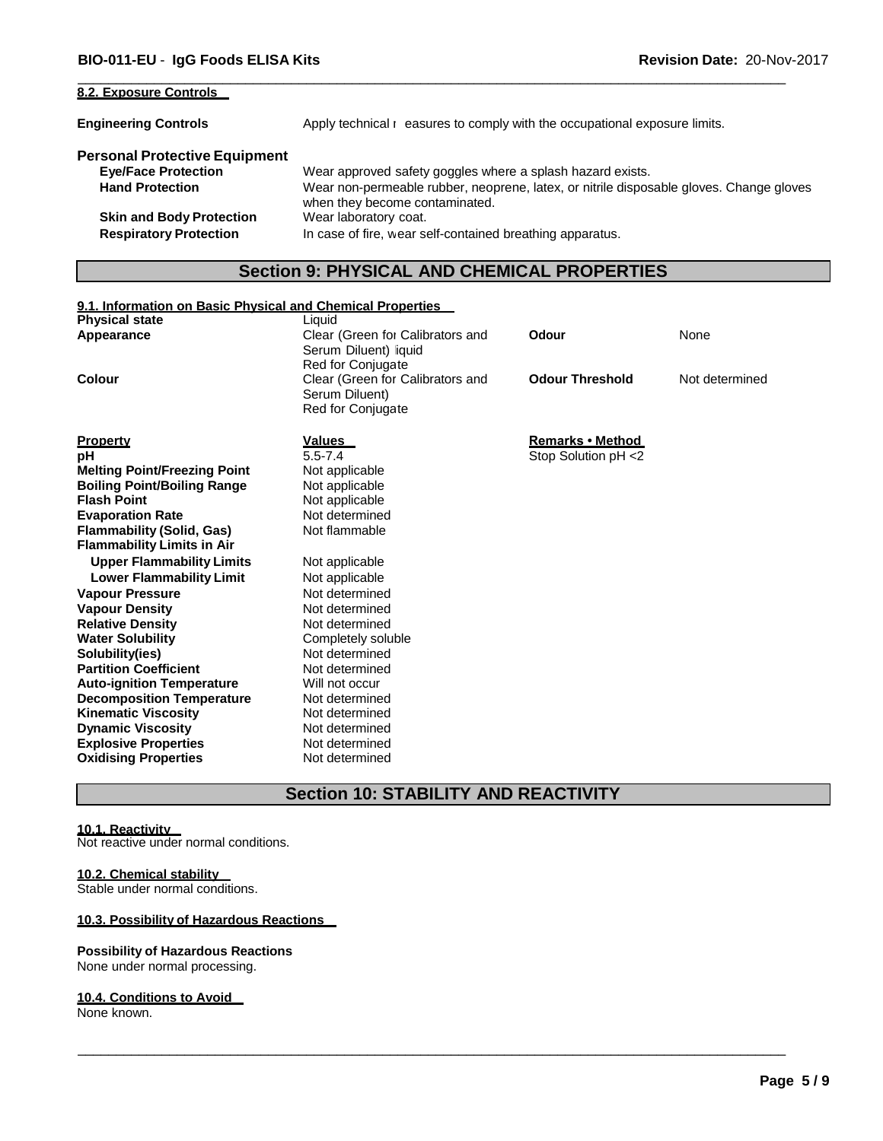| 8.2. Exposure Controls               |                                                                                         |
|--------------------------------------|-----------------------------------------------------------------------------------------|
| <b>Engineering Controls</b>          | Apply technical reasures to comply with the occupational exposure limits.               |
| <b>Personal Protective Equipment</b> | Wear approved safety goggles where a splash hazard exists.                              |
| <b>Eye/Face Protection</b>           | Wear non-permeable rubber, neoprene, latex, or nitrile disposable gloves. Change gloves |
| <b>Hand Protection</b>               | when they become contaminated.                                                          |
| <b>Skin and Body Protection</b>      | Wear laboratory coat.                                                                   |
| <b>Respiratory Protection</b>        | In case of fire, wear self-contained breathing apparatus.                               |

 $\overline{\phantom{a}}$  , and the contribution of the contribution of the contribution of the contribution of the contribution of the contribution of the contribution of the contribution of the contribution of the contribution of the

# **Section 9: PHYSICAL AND CHEMICAL PROPERTIES**

# **9.1. Information on Basic Physical and Chemical Properties**

| <b>Physical state</b>               | Liquid                                                                         |                         |                |
|-------------------------------------|--------------------------------------------------------------------------------|-------------------------|----------------|
| Appearance                          | Clear (Green for Calibrators and<br>Serum Diluent) liquid<br>Red for Conjugate | Odour                   | None           |
| Colour                              | Clear (Green for Calibrators and<br>Serum Diluent)<br><b>Red for Conjugate</b> | <b>Odour Threshold</b>  | Not determined |
| <b>Property</b>                     | Values                                                                         | <b>Remarks • Method</b> |                |
| рH                                  | $5.5 - 7.4$                                                                    | Stop Solution pH <2     |                |
| <b>Melting Point/Freezing Point</b> | Not applicable                                                                 |                         |                |
| <b>Boiling Point/Boiling Range</b>  | Not applicable                                                                 |                         |                |
| <b>Flash Point</b>                  | Not applicable                                                                 |                         |                |
| <b>Evaporation Rate</b>             | Not determined                                                                 |                         |                |
| <b>Flammability (Solid, Gas)</b>    | Not flammable                                                                  |                         |                |
| <b>Flammability Limits in Air</b>   |                                                                                |                         |                |
| <b>Upper Flammability Limits</b>    | Not applicable                                                                 |                         |                |
| <b>Lower Flammability Limit</b>     | Not applicable                                                                 |                         |                |
| <b>Vapour Pressure</b>              | Not determined                                                                 |                         |                |
| <b>Vapour Density</b>               | Not determined                                                                 |                         |                |
| <b>Relative Density</b>             | Not determined                                                                 |                         |                |
| <b>Water Solubility</b>             | Completely soluble                                                             |                         |                |
| Solubility(ies)                     | Not determined                                                                 |                         |                |
| <b>Partition Coefficient</b>        | Not determined                                                                 |                         |                |
| <b>Auto-ignition Temperature</b>    | Will not occur                                                                 |                         |                |
| <b>Decomposition Temperature</b>    | Not determined                                                                 |                         |                |
| <b>Kinematic Viscosity</b>          | Not determined                                                                 |                         |                |
| <b>Dynamic Viscosity</b>            | Not determined                                                                 |                         |                |
| <b>Explosive Properties</b>         | Not determined                                                                 |                         |                |
| <b>Oxidising Properties</b>         | Not determined                                                                 |                         |                |

# **Section 10: STABILITY AND REACTIVITY**

\_\_\_\_\_\_\_\_\_\_\_\_\_\_\_\_\_\_\_\_\_\_\_\_\_\_\_\_\_\_\_\_\_\_\_\_\_\_\_\_\_\_\_\_\_\_\_\_\_\_\_\_\_\_\_\_\_\_\_\_\_\_\_\_\_\_\_\_\_\_\_\_\_\_\_\_\_\_\_\_\_\_\_\_\_\_\_\_\_\_\_\_\_

#### **10.1. Reactivity**

Not reactive under normal conditions.

### **10.2. Chemical stability**

Stable under normal conditions.

### **10.3. Possibility of Hazardous Reactions**

### **Possibility of Hazardous Reactions**

None under normal processing.

### **10.4. Conditions to Avoid**

None known.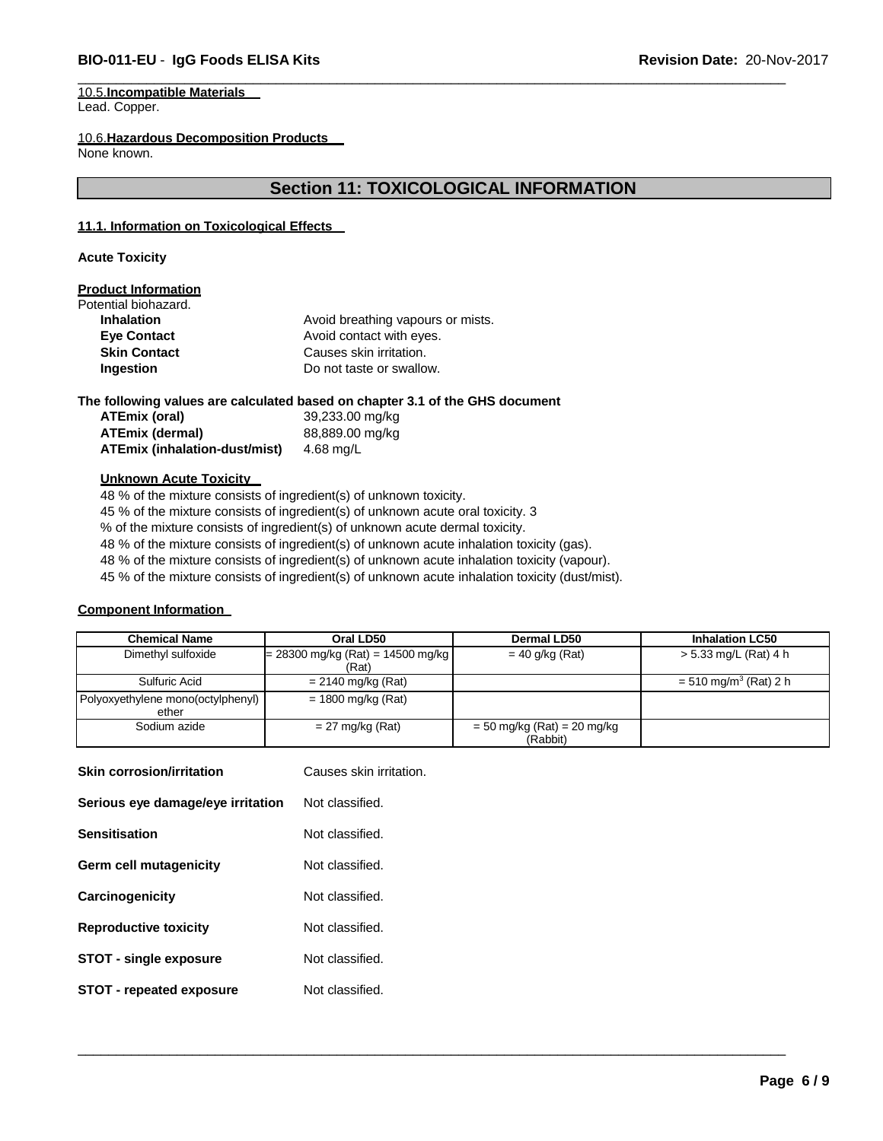### **BIO-011-EU** - **IgG Foods ELISA Kits Revision Date:** 20-Nov-2017

#### 10.5.**Incompatible Materials** Lead. Copper.

10.6.**Hazardous Decomposition Products**

None known.

# **Section 11: TOXICOLOGICAL INFORMATION**

 $\overline{\phantom{a}}$  , and the contribution of the contribution of the contribution of the contribution of the contribution of the contribution of the contribution of the contribution of the contribution of the contribution of the

### **11.1. Information on Toxicological Effects**

**Acute Toxicity**

### **Product Information**

| Potential biohazard. |                                   |
|----------------------|-----------------------------------|
| <b>Inhalation</b>    | Avoid breathing vapours or mists. |
| <b>Eye Contact</b>   | Avoid contact with eyes.          |
| <b>Skin Contact</b>  | Causes skin irritation.           |
| Ingestion            | Do not taste or swallow.          |
|                      |                                   |

**The following values are calculated based on chapter 3.1 of the GHS document**

**ATEmix (oral)** 39,233.00 mg/kg **ATEmix (dermal)** 88,889.00 mg/kg **ATEmix (inhalation-dust/mist)** 4.68 mg/L

### **Unknown Acute Toxicity**

48 % of the mixture consists of ingredient(s) of unknown toxicity. 45 % of the mixture consists of ingredient(s) of unknown acute oral toxicity. 3 % of the mixture consists of ingredient(s) of unknown acute dermal toxicity. 48 % of the mixture consists of ingredient(s) of unknown acute inhalation toxicity (gas). 48 % of the mixture consists of ingredient(s) of unknown acute inhalation toxicity (vapour). 45 % of the mixture consists of ingredient(s) of unknown acute inhalation toxicity (dust/mist).

### **Component Information**

| <b>Chemical Name</b>              | Oral LD50                           | Dermal LD50                     | <b>Inhalation LC50</b>              |
|-----------------------------------|-------------------------------------|---------------------------------|-------------------------------------|
| Dimethyl sulfoxide                | $= 28300$ mg/kg (Rat) = 14500 mg/kg | $= 40$ g/kg (Rat)               | > 5.33 mg/L (Rat) 4 h               |
|                                   | (Rat)                               |                                 |                                     |
| Sulfuric Acid                     | $= 2140$ mg/kg (Rat)                |                                 | $= 510$ mg/m <sup>3</sup> (Rat) 2 h |
| Polyoxyethylene mono(octylphenyl) | $= 1800$ mg/kg (Rat)                |                                 |                                     |
| ether                             |                                     |                                 |                                     |
| Sodium azide                      | $= 27$ mg/kg (Rat)                  | $= 50$ mg/kg (Rat) $= 20$ mg/kg |                                     |
|                                   |                                     | (Rabbit)                        |                                     |

| <b>Skin corrosion/irritation</b>  | Causes skin irritation. |
|-----------------------------------|-------------------------|
| Serious eye damage/eye irritation | Not classified.         |
| <b>Sensitisation</b>              | Not classified.         |
| Germ cell mutagenicity            | Not classified.         |
| Carcinogenicity                   | Not classified.         |
| <b>Reproductive toxicity</b>      | Not classified.         |
| <b>STOT - single exposure</b>     | Not classified.         |
| <b>STOT - repeated exposure</b>   | Not classified.         |
|                                   |                         |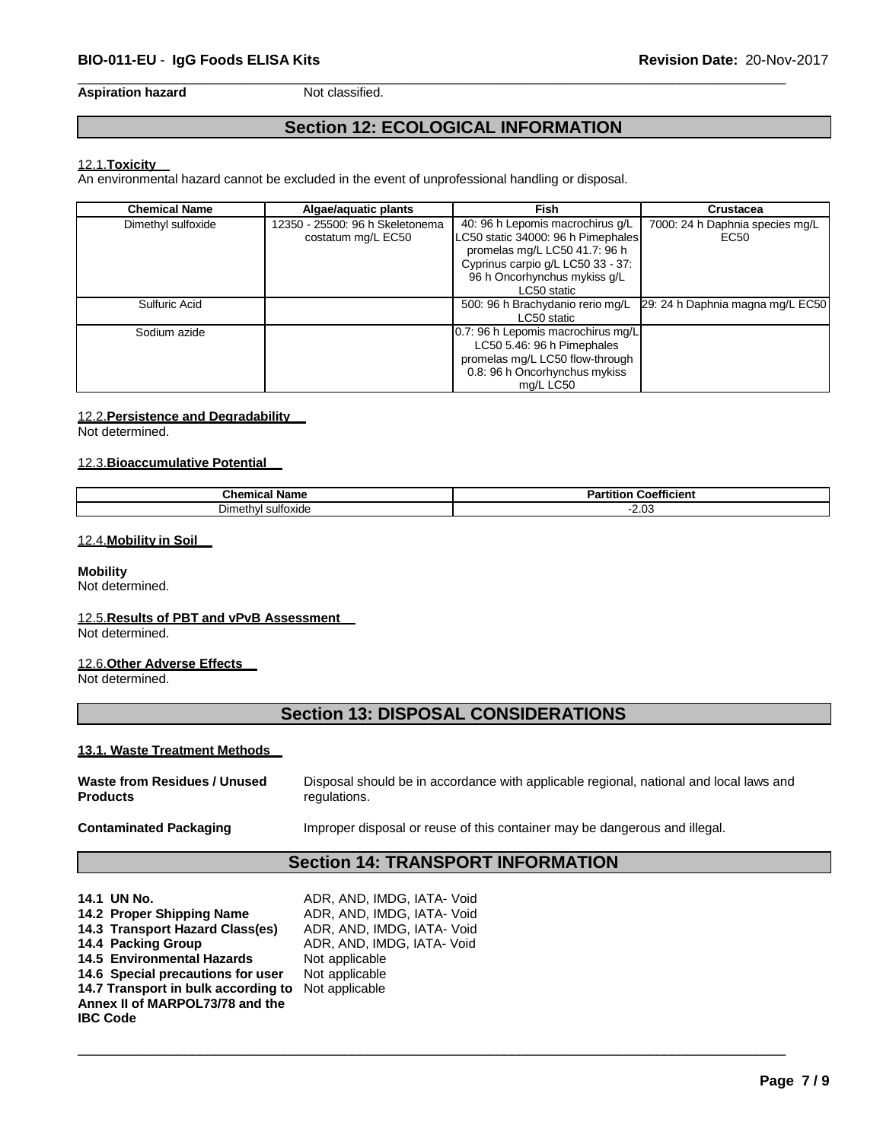**Aspiration hazard** Not classified.

# **Section 12: ECOLOGICAL INFORMATION**

 $\overline{\phantom{a}}$  , and the contribution of the contribution of the contribution of the contribution of the contribution of the contribution of the contribution of the contribution of the contribution of the contribution of the

### 12.1.**Toxicity**

An environmental hazard cannot be excluded in the event of unprofessional handling or disposal.

| <b>Chemical Name</b> | Algae/aquatic plants            | Fish                               | <b>Crustacea</b>                 |
|----------------------|---------------------------------|------------------------------------|----------------------------------|
| Dimethyl sulfoxide   | 12350 - 25500: 96 h Skeletonema | 40: 96 h Lepomis macrochirus q/L   | 7000: 24 h Daphnia species mg/L  |
|                      | costatum mg/L EC50              | LC50 static 34000: 96 h Pimephales | EC50                             |
|                      |                                 | promelas mg/L LC50 41.7: 96 h      |                                  |
|                      |                                 | Cyprinus carpio g/L LC50 33 - 37:  |                                  |
|                      |                                 | 96 h Oncorhynchus mykiss q/L       |                                  |
|                      |                                 | LC50 static                        |                                  |
| Sulfuric Acid        |                                 | 500: 96 h Brachydanio rerio mg/L   | 29: 24 h Daphnia magna mg/L EC50 |
|                      |                                 | LC50 static                        |                                  |
| Sodium azide         |                                 | 0.7: 96 h Lepomis macrochirus mg/L |                                  |
|                      |                                 | LC50 5.46: 96 h Pimephales         |                                  |
|                      |                                 | promelas mg/L LC50 flow-through    |                                  |
|                      |                                 | 0.8: 96 h Oncorhynchus mykiss      |                                  |
|                      |                                 | ma/L LC50                          |                                  |

### 12.2.**Persistence and Degradability**

Not determined.

### 12.3.**Bioaccumulative Potential**

| Chemical Name | ---<br><b>Coefficient</b><br>Partıtıon |
|---------------|----------------------------------------|
| I sultoxide   | $\sim$                                 |
| Dimethy!      | ں.∟                                    |

### 12.4.**Mobility in Soil**

### **Mobility**

Not determined.

### 12.5.**Results of PBT and vPvB Assessment**

Not determined.

### 12.6.**Other Adverse Effects**

Not determined.

# **Section 13: DISPOSAL CONSIDERATIONS**

### **13.1. Waste Treatment Methods**

| Waste from Residues / Unused | Disposal should be in accordance with applicable regional, national and local laws and |
|------------------------------|----------------------------------------------------------------------------------------|
| <b>Products</b>              | regulations.                                                                           |
|                              |                                                                                        |

\_\_\_\_\_\_\_\_\_\_\_\_\_\_\_\_\_\_\_\_\_\_\_\_\_\_\_\_\_\_\_\_\_\_\_\_\_\_\_\_\_\_\_\_\_\_\_\_\_\_\_\_\_\_\_\_\_\_\_\_\_\_\_\_\_\_\_\_\_\_\_\_\_\_\_\_\_\_\_\_\_\_\_\_\_\_\_\_\_\_\_\_\_

**Contaminated Packaging <b>Improper** disposal or reuse of this container may be dangerous and illegal.

# **Section 14: TRANSPORT INFORMATION**

| 14.1 UN No.                         | ADR, AND, IMDG, IATA- Void |
|-------------------------------------|----------------------------|
| 14.2 Proper Shipping Name           | ADR, AND, IMDG, IATA- Void |
| 14.3 Transport Hazard Class(es)     | ADR, AND, IMDG, IATA- Void |
| 14.4 Packing Group                  | ADR, AND, IMDG, IATA- Void |
| <b>14.5 Environmental Hazards</b>   | Not applicable             |
| 14.6 Special precautions for user   | Not applicable             |
| 14.7 Transport in bulk according to | Not applicable             |
| Annex II of MARPOL73/78 and the     |                            |
| <b>IBC Code</b>                     |                            |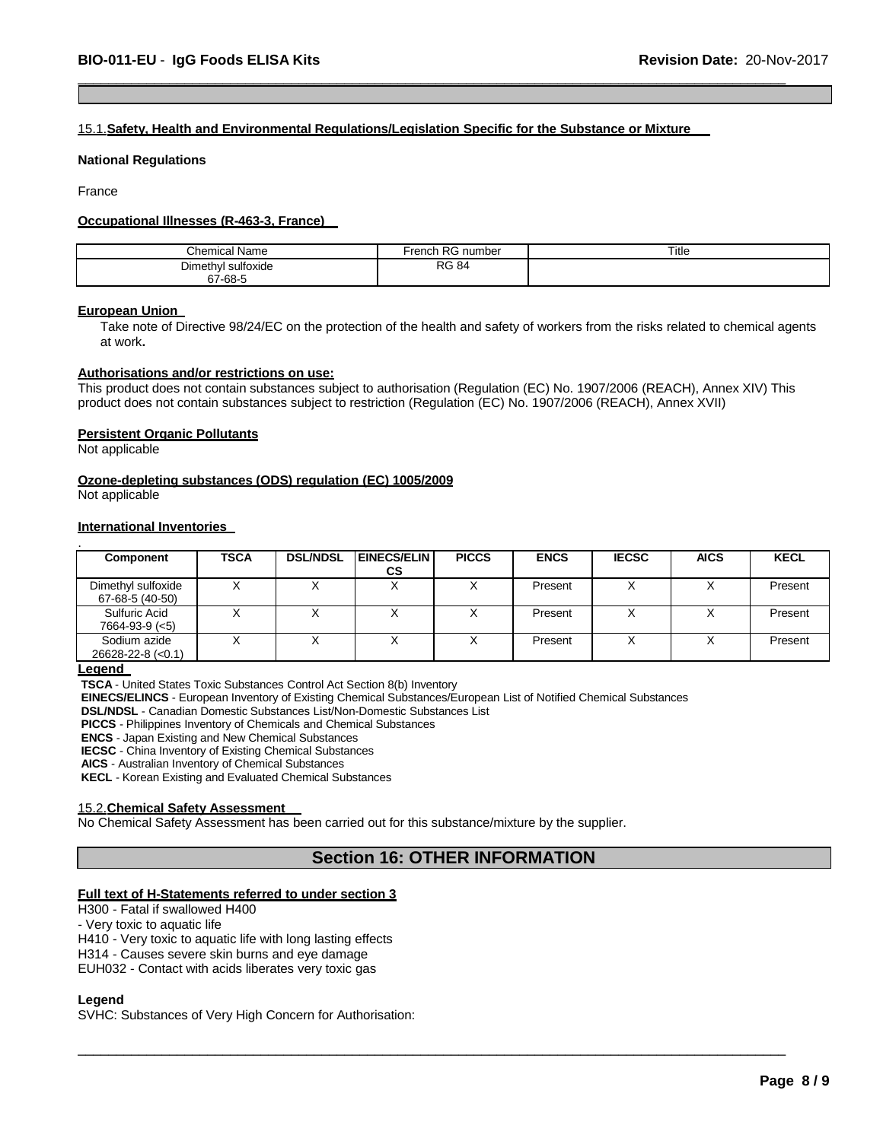### 15.1.**Safety, Health and Environmental Regulations/Legislation Specific for the Substance or Mixture**

 $\overline{\phantom{a}}$  , and the contribution of the contribution of the contribution of the contribution of the contribution of the contribution of the contribution of the contribution of the contribution of the contribution of the

#### **National Regulations**

France

### **Occupational Illnesses (R-463-3, France)**

| <b>Chemical Name</b>                         | െ<br>rench<br>ı RG number | Title |
|----------------------------------------------|---------------------------|-------|
| $\sim$<br>Dimethy'<br>l sulfoxide<br>67-68-5 | <b>RG 84</b>              |       |

### **European Union**

Take note of Directive 98/24/EC on the protection of the health and safety of workers from the risks related to chemical agents at work**.**

### **Authorisations and/or restrictions on use:**

This product does not contain substances subject to authorisation (Regulation (EC) No. 1907/2006 (REACH), Annex XIV) This product does not contain substances subject to restriction (Regulation (EC) No. 1907/2006 (REACH), Annex XVII)

### **Persistent Organic Pollutants**

Not applicable

### **Ozone-depleting substances (ODS) regulation (EC) 1005/2009**

Not applicable

### **International Inventories**

| Component                               | <b>TSCA</b> | <b>DSL/NDSL</b> | <b>EINECS/ELIN</b> | <b>PICCS</b> | <b>ENCS</b> | <b>IECSC</b> | <b>AICS</b> | <b>KECL</b> |
|-----------------------------------------|-------------|-----------------|--------------------|--------------|-------------|--------------|-------------|-------------|
|                                         |             |                 | СS                 |              |             |              |             |             |
| Dimethyl sulfoxide<br>67-68-5 (40-50)   |             |                 | ⌒                  | ⌒            | Present     |              |             | Present     |
| Sulfuric Acid<br>$7664 - 93 - 9 \leq 5$ |             |                 |                    | ⋏            | Present     |              |             | Present     |
| Sodium azide<br>$26628 - 22 - 8$ (<0.1) |             |                 |                    |              | Present     |              |             | Present     |

**Legend** 

**TSCA** - United States Toxic Substances Control Act Section 8(b) Inventory

**EINECS/ELINCS** - European Inventory of Existing Chemical Substances/European List of Notified Chemical Substances

**DSL/NDSL** - Canadian Domestic Substances List/Non-Domestic Substances List

**PICCS** - Philippines Inventory of Chemicals and Chemical Substances

**ENCS** - Japan Existing and New Chemical Substances

**IECSC** - China Inventory of Existing Chemical Substances

**AICS** - Australian Inventory of Chemical Substances

**KECL** - Korean Existing and Evaluated Chemical Substances

#### 15.2.**Chemical Safety Assessment**

No Chemical Safety Assessment has been carried out for this substance/mixture by the supplier.

# **Section 16: OTHER INFORMATION**

\_\_\_\_\_\_\_\_\_\_\_\_\_\_\_\_\_\_\_\_\_\_\_\_\_\_\_\_\_\_\_\_\_\_\_\_\_\_\_\_\_\_\_\_\_\_\_\_\_\_\_\_\_\_\_\_\_\_\_\_\_\_\_\_\_\_\_\_\_\_\_\_\_\_\_\_\_\_\_\_\_\_\_\_\_\_\_\_\_\_\_\_\_

### **Full text of H-Statements referred to under section 3**

H300 - Fatal if swallowed H400

- Very toxic to aquatic life

H410 - Very toxic to aquatic life with long lasting effects

H314 - Causes severe skin burns and eye damage

EUH032 - Contact with acids liberates very toxic gas

### **Legend**

SVHC: Substances of Very High Concern for Authorisation: